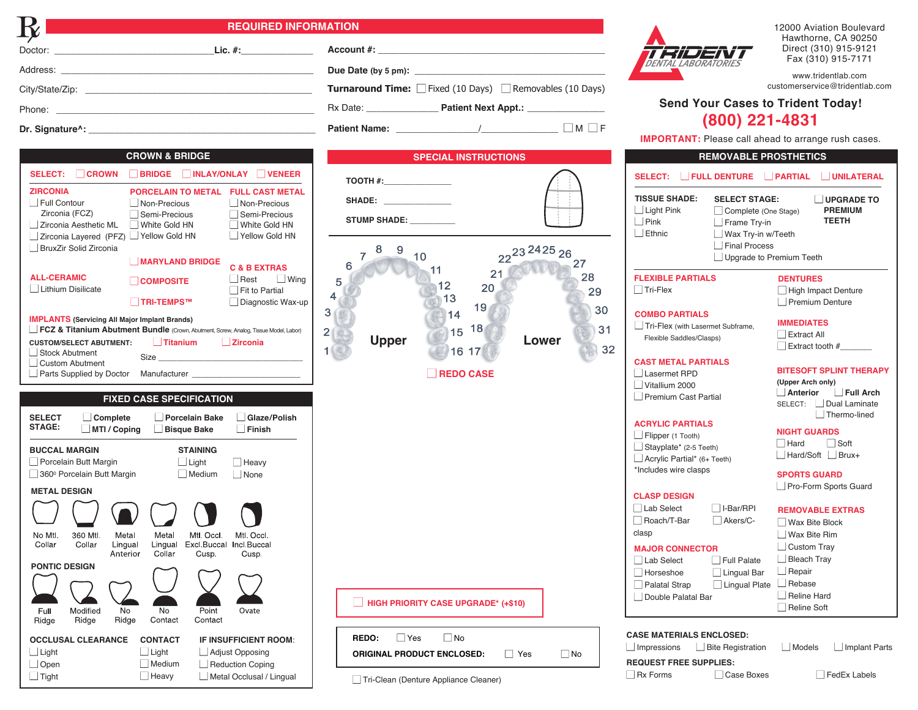| $\mathbf R$                  | <b>REQUIRED INFORMATION</b> |                                                                            | 12000 Aviation Boulevard<br>Hawthorne, CA 90250                              |                                             |
|------------------------------|-----------------------------|----------------------------------------------------------------------------|------------------------------------------------------------------------------|---------------------------------------------|
| Doctor:                      | Lic. #:                     | Account #:                                                                 | <i><b>TRIDENT</b></i><br><b>DENTAL LABORATORIES</b>                          | Direct (310) 915-9121<br>Fax (310) 915-7171 |
| Address:                     |                             |                                                                            |                                                                              | www.tridentlab.com                          |
| City/State/Zip:              |                             | <b>Turnaround Time:</b> $\Box$ Fixed (10 Days) $\Box$ Removables (10 Days) |                                                                              | customerservice@tridentlab.com              |
| Phone:                       |                             | Rx Date:<br><b>Patient Next Appt.:</b>                                     | <b>Send Your Cases to Trident Today!</b>                                     |                                             |
| Dr. Signature <sup>1</sup> : |                             | $\neg$ M $\neg$ F<br><b>Patient Name:</b>                                  | (800) 221-4831<br><b>IMPORTANT:</b> Please call ahead to arrange rush cases. |                                             |
|                              |                             |                                                                            |                                                                              |                                             |

#### **ALL-CERAMIC**  $\Box$  Lithium Disilicate **ZIRCONIA** Full Contour Zirconia (FCZ) **Zirconia Aesthetic ML** □ Zirconia Layered (PFZ) □ Yellow Gold HN  $\Box$  BruxZir Solid Zirconia **IMPLANTS (Servicing All Major Implant Brands) FCZ & Titanium Abutment Bundle** (Crown, Abutment, Screw, Analog, Tissue Model, Labor) **CUSTOM/SELECT ABUTMENT:** n **Titanium** n **Zirconia** □ Stock Abutment **Custom Abutment** n Parts Supplied by Doctor Manufacturer \_\_\_\_\_\_\_\_\_\_\_\_\_\_\_\_\_\_\_\_\_\_\_\_ **PORCELAIN TO METAL FULL CAST METAL**  $\Box$  Non-Precious Semi-Precious White Gold HN n **TRI-TEMPS™ C & B EXTRAS**  $\Box$  Rest  $\Box$  Wing  $\Box$  Fit to Partial  $\Box$  Diagnostic Wax-up **NARYLAND BRIDGE** Size \_\_\_\_\_\_\_\_\_\_\_\_\_\_\_\_\_\_\_\_\_\_\_\_\_\_\_\_\_\_\_\_  $SELECT:$  **CROWN DERIDGE DINLAY/ONLAY DENEER**  $\Box$  Non-Precious Semi-Precious White Gold HN  $\Box$  Yellow Gold HN □ COMPOSITE

#### **FIXED CASE SPECIFICATION**

| <b>SELECT</b><br>STAGE: |                                                     | Complete<br>MTI / Coping     |                            | <b>Porcelain Bake</b><br><b>Bisque Bake</b> | Glaze/Polish<br><b>Finish</b>           |
|-------------------------|-----------------------------------------------------|------------------------------|----------------------------|---------------------------------------------|-----------------------------------------|
| <b>BUCCAL MARGIN</b>    | Porcelain Butt Margin<br>360° Porcelain Butt Margin |                              |                            | <b>STAINING</b><br>Light<br>Medium          | Heavy<br><b>None</b>                    |
| <b>METAL DESIGN</b>     |                                                     |                              |                            |                                             |                                         |
|                         |                                                     |                              |                            |                                             |                                         |
| No Mtl<br>Collar        | 360 Mtl<br>Collar                                   | Metal<br>Lingual<br>Anterior | Metal<br>Lingual<br>Collar | Mtl Occl<br>Excl Buccal<br>Cusp.            | Mtl Occl<br><b>Incl.Buccal</b><br>Cusp. |
| PONTIC DESIGN           |                                                     |                              |                            |                                             |                                         |
|                         |                                                     |                              |                            |                                             |                                         |
| Full<br>Ridge           | Modified<br>Ridge                                   | No<br>Ridge                  | No<br>Contact              | Point<br>Contact                            | Ovate                                   |
|                         | <b>OCCLUSAL CLEARANCE</b>                           |                              | <b>CONTACT</b>             |                                             | IF INSUFFICIENT ROOM:                   |
| Light                   |                                                     |                              | Light                      |                                             | <b>Adjust Opposing</b>                  |
| Open                    |                                                     |                              | Medium                     |                                             | <b>Reduction Coping</b>                 |
| Tight                   |                                                     |                              | Heavy                      |                                             | Metal Occlusal / Lingual                |



| <b>I ANTE FIGURE CAR ANGULO ANGHIA GEOGRAPHI</b><br><b>REMOVABLE PROSTHETICS</b>                                                                                                                                                                                |                                                                                                                       |  |
|-----------------------------------------------------------------------------------------------------------------------------------------------------------------------------------------------------------------------------------------------------------------|-----------------------------------------------------------------------------------------------------------------------|--|
| <b>FULL DENTURE</b><br><b>SELECT:</b>                                                                                                                                                                                                                           | <b>UNILATERAL</b><br><b>DARTIAL</b>                                                                                   |  |
| <b>TISSUE SHADE:</b><br><b>SELECT STAGE:</b><br><b>UPGRADE TO</b><br><b>PREMIUM</b><br>Light Pink<br>Complete (One Stage)<br><b>TEETH</b><br>$\exists$ Pink<br>Frame Try-in<br>Fthnic<br>Wax Try-in w/Teeth<br><b>Final Process</b><br>Upgrade to Premium Teeth |                                                                                                                       |  |
| <b>FLEXIBLE PARTIALS</b><br>$\sqcap$ Tri-Flex                                                                                                                                                                                                                   | <b>DENTURES</b><br>High Impact Denture<br>Premium Denture                                                             |  |
| <b>COMBO PARTIALS</b><br>Tri-Flex (with Lasermet Subframe,<br>Flexible Saddles/Clasps)                                                                                                                                                                          | <b>IMMEDIATES</b><br>Extract All<br>$\Box$ Extract tooth $\#$                                                         |  |
| <b>CAST METAL PARTIALS</b><br>Lasermet RPD<br>Vitallium 2000<br>Premium Cast Partial                                                                                                                                                                            | <b>BITESOFT SPLINT THERAPY</b><br>(Upper Arch only)<br>Anterior Full Arch<br>Dual Laminate<br>SELECT:<br>Thermo-lined |  |
| <b>ACRYLIC PARTIALS</b><br>Flipper (1 Tooth)<br>Stayplate* (2-5 Teeth)<br>$\Box$ Acrylic Partial* (6+ Teeth)<br>*Includes wire clasps                                                                                                                           | <b>NIGHT GUARDS</b><br>$\Box$ Soft<br>Hard<br>Hard/Soft Brux+<br><b>SPORTS GUARD</b>                                  |  |
| <b>CLASP DESIGN</b><br><b>Lab Select</b><br>I-Bar/RPI<br>Roach/T-Bar<br>Akers/C-                                                                                                                                                                                | Pro-Form Sports Guard<br><b>REMOVABLE EXTRAS</b><br>Wax Bite Block                                                    |  |
| clasp<br><b>MAJOR CONNECTOR</b><br>Lab Select<br>Full Palate                                                                                                                                                                                                    | <b>Wax Bite Rim</b><br>Custom Tray<br><b>Bleach Tray</b>                                                              |  |
| Horseshoe<br>Lingual Bar<br>Palatal Strap<br>$\Box$ Lingual Plate<br>Double Palatal Bar                                                                                                                                                                         | Repair<br>Rebase<br>Reline Hard<br><b>Reline Soft</b>                                                                 |  |
| <b>CASE MATERIALS ENCLOSED:</b>                                                                                                                                                                                                                                 |                                                                                                                       |  |

|  |          | $\Box$ Impressions $\Box$ Bite Registration | Models | Implant Parts |  |
|--|----------|---------------------------------------------|--------|---------------|--|
|  |          | <b>REQUEST FREE SUPPLIES:</b>               |        |               |  |
|  | Rx Forms | Case Boxes                                  |        | FedEx Labels  |  |
|  |          |                                             |        |               |  |